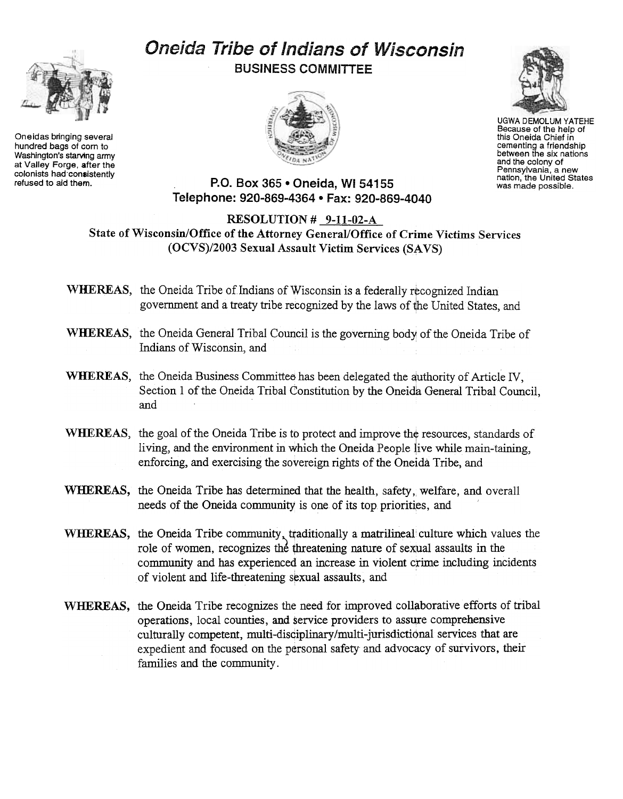Oneidas bringing several hundred bags of corn to Washington's starving army at Valley Forge, after the colonists had consistently<br>refused to aid them.

## Oneida Tribe of Indians of Wisconsin BUSINESS COMMITTEE





UGWA DEMOLUM YATEHE Because of the help of this Oneida Chief in cementing a friendship between the six nations and the colony of Pennsylvania. a new nation, the United States was made possible.

## P.O. Box 365 . Oneida, WI 54155 Telephone: 920-869-4364 · Fax: 920-869-4040

RESOLUTION# 9-11-02-A State of Wisconsin/Office of the Attorney General/Office of Crime Victims Services (OCVS)/2003 Sexual Assault Victim Services (SAVS)

WHEREAS, the Oneida Tribe of Indians of Wisconsin is a federally recognized Indian government and a treaty tribe recognized by the laws of the United States, and

- WHEREAS, the Oneida General Tribal Council is the governing body of the Oneida Tribe of Indians of Wisconsin, and
- WHEREAS, the Oneida Business Committee has been delegated the authority of Article IV, Section 1 of the Oneida Tribal Constitution by the Oneida General Tribal Council, and
- WHEREAS, the goal of the Oneida Tribe is to protect and improve the resources, standards of living, and the environment in which the Oneida People live while main-taining, enforcing, and exercising the sovereign rights of the Oneida Tribe, and
- WHEREAS, the Oneida Tribe has determined that the health, safety, welfare, and overall needs of the Oneida community is one of its top priorities, and
- WHEREAS, the Oneida Tribe community, traditionally a matrilineal culture which values the role of women, recognizes the threatening nature of sexual assaults in the community and has experienced an increase in violent crime including incidents of violent and life-threatening sexual assaults, and
- WHEREAS, the Oneida Tribe recognizes the need for improved collaborative efforts of tribal operations, local counties, and service providers to assure comprehensive culturally competent, multi-disciplinary/multi-jurisdictional services that are expedient and focused on the personal safety and advocacy of survivors, their families and the community.